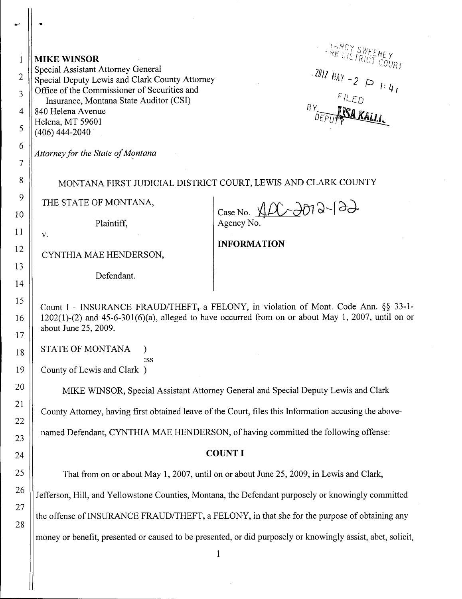| 1              | <b>MIKE WINSOR</b><br>Special Assistant Attorney General                                                    | <b>ARCY SWEEMEY</b>                                                                                     |
|----------------|-------------------------------------------------------------------------------------------------------------|---------------------------------------------------------------------------------------------------------|
| $\overline{2}$ | Special Deputy Lewis and Clark County Attorney                                                              | 2012 $MAY - 2 \implies 1: 4.$                                                                           |
| 3              | Office of the Commissioner of Securities and<br>Insurance, Montana State Auditor (CSI)                      |                                                                                                         |
| 4              | 840 Helena Avenue<br>Helena, MT 59601                                                                       |                                                                                                         |
| 5              | $(406)$ 444-2040                                                                                            |                                                                                                         |
| 6              | Attorney for the State of Montana                                                                           |                                                                                                         |
| 7<br>8         |                                                                                                             |                                                                                                         |
| 9              | MONTANA FIRST JUDICIAL DISTRICT COURT, LEWIS AND CLARK COUNTY                                               |                                                                                                         |
| 10             | THE STATE OF MONTANA,                                                                                       | Case No. $ADC$ - $\partial D3-\partial$                                                                 |
| 11             | Plaintiff,<br>V.                                                                                            | Agency No.                                                                                              |
| 12             |                                                                                                             | <b>INFORMATION</b>                                                                                      |
| 13             | CYNTHIA MAE HENDERSON,<br>Defendant.                                                                        |                                                                                                         |
| 14             |                                                                                                             |                                                                                                         |
| 15             | Count I - INSURANCE FRAUD/THEFT, a FELONY, in violation of Mont. Code Ann. §§ 33-1-                         |                                                                                                         |
| 16             | about June 25, 2009.                                                                                        | $1202(1)-(2)$ and $45-6-301(6)(a)$ , alleged to have occurred from on or about May 1, 2007, until on or |
| 17             |                                                                                                             |                                                                                                         |
| 18             | STATE OF MONTANA<br>:SS                                                                                     |                                                                                                         |
| 19             | County of Lewis and Clark )                                                                                 |                                                                                                         |
| 20             | MIKE WINSOR, Special Assistant Attorney General and Special Deputy Lewis and Clark                          |                                                                                                         |
| 21             | County Attorney, having first obtained leave of the Court, files this Information accusing the above-       |                                                                                                         |
| 22<br>23       | named Defendant, CYNTHIA MAE HENDERSON, of having committed the following offense:                          |                                                                                                         |
| 24             | <b>COUNT I</b>                                                                                              |                                                                                                         |
| 25             | That from on or about May 1, 2007, until on or about June 25, 2009, in Lewis and Clark,                     |                                                                                                         |
| 26             |                                                                                                             |                                                                                                         |
| 27             | Jefferson, Hill, and Yellowstone Counties, Montana, the Defendant purposely or knowingly committed          |                                                                                                         |
| 28             | the offense of INSURANCE FRAUD/THEFT, a FELONY, in that she for the purpose of obtaining any                |                                                                                                         |
|                | money or benefit, presented or caused to be presented, or did purposely or knowingly assist, abet, solicit, |                                                                                                         |

 $\sim$ 

1

 $\hat{\vec{r}}$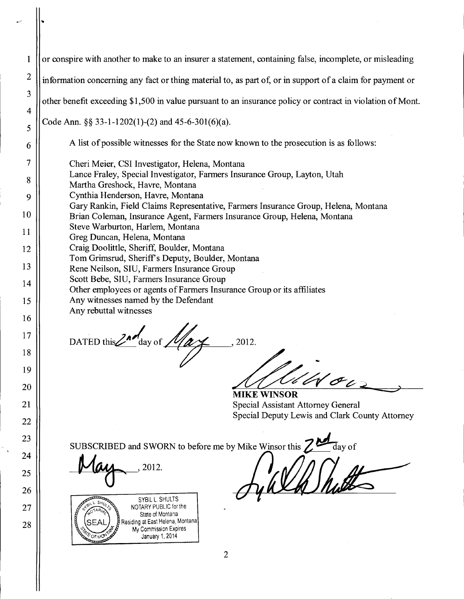| $\mathbf{1}$   | or conspire with another to make to an insurer a statement, containing false, incomplete, or misleading                                                        |  |  |
|----------------|----------------------------------------------------------------------------------------------------------------------------------------------------------------|--|--|
| $\overline{c}$ | information concerning any fact or thing material to, as part of, or in support of a claim for payment or                                                      |  |  |
| 3              | other benefit exceeding \$1,500 in value pursuant to an insurance policy or contract in violation of Mont.                                                     |  |  |
| 4              | Code Ann. §§ 33-1-1202(1)-(2) and 45-6-301(6)(a).                                                                                                              |  |  |
| 5<br>6         | A list of possible witnesses for the State now known to the prosecution is as follows:                                                                         |  |  |
| 7              |                                                                                                                                                                |  |  |
| 8              | Cheri Meier, CSI Investigator, Helena, Montana<br>Lance Fraley, Special Investigator, Farmers Insurance Group, Layton, Utah                                    |  |  |
| 9              | Martha Greshock, Havre, Montana<br>Cynthia Henderson, Havre, Montana                                                                                           |  |  |
| 10             | Gary Rankin, Field Claims Representative, Farmers Insurance Group, Helena, Montana<br>Brian Coleman, Insurance Agent, Farmers Insurance Group, Helena, Montana |  |  |
| 11             | Steve Warburton, Harlem, Montana                                                                                                                               |  |  |
| 12             | Greg Duncan, Helena, Montana<br>Craig Doolittle, Sheriff, Boulder, Montana                                                                                     |  |  |
| 13             | Tom Grimsrud, Sheriff's Deputy, Boulder, Montana                                                                                                               |  |  |
| 14             | Rene Neilson, SIU, Farmers Insurance Group<br>Scott Bebe, SIU, Farmers Insurance Group                                                                         |  |  |
| 15             | Other employees or agents of Farmers Insurance Group or its affiliates<br>Any witnesses named by the Defendant                                                 |  |  |
| 16             | Any rebuttal witnesses                                                                                                                                         |  |  |
| 17             | DATED this 2nd day of $\mathcal{M}_{\alpha}$                                                                                                                   |  |  |
| 18             | 2012.                                                                                                                                                          |  |  |
| 19             |                                                                                                                                                                |  |  |
| <b>20</b>      | $W$ Oc                                                                                                                                                         |  |  |
| 21             | <b>MIKE WINSOR</b><br><b>Special Assistant Attorney General</b>                                                                                                |  |  |
| 22             | Special Deputy Lewis and Clark County Attorney                                                                                                                 |  |  |
| 23             | day of                                                                                                                                                         |  |  |
| 24             | SUBSCRIBED and SWORN to before me by Mike Winsor this                                                                                                          |  |  |
| 25             |                                                                                                                                                                |  |  |
| 26             | SYBIL L. SHULTS                                                                                                                                                |  |  |
| 27<br>28       | NOTARY PUBLIC for the<br>State of Montana<br>Residing at East Helena, Montana                                                                                  |  |  |

Residing at East Helena, Montana My Commission Expires January 1, 2014

**CANCER MOVIE** 

28

l.

 $\mathcal{L}$